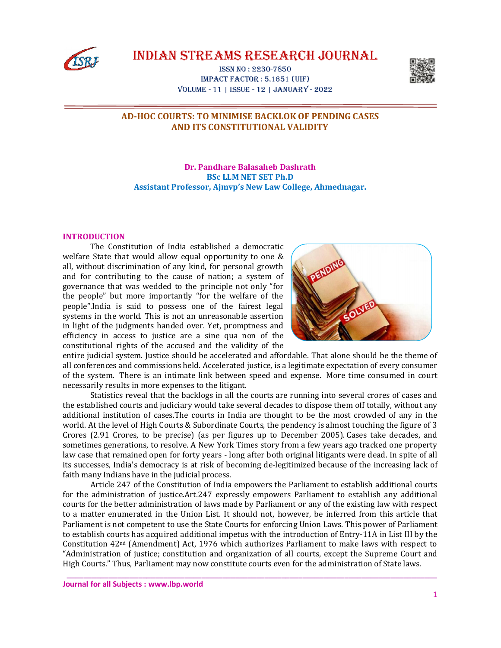

IndIan StreamS reSearch Journal

ISSn no : 2230-7850 Impact Factor : 5.1651 (uIF) Volume - 11 | ISSue - 12 | January - 2022



# **AD-HOC COURTS: TO MINIMISE BACKLOK OF PENDING CASES AND ITS CONSTITUTIONAL VALIDITY**

**Dr. Pandhare Balasaheb Dashrath BSc LLM NET SET Ph.D Assistant Professor, Ajmvp's New Law College, Ahmednagar.**

## **INTRODUCTION**

The Constitution of India established a democratic welfare State that would allow equal opportunity to one & all, without discrimination of any kind, for personal growth and for contributing to the cause of nation; a system of governance that was wedded to the principle not only "for the people" but more importantly "for the welfare of the people".India is said to possess one of the fairest legal systems in the world. This is not an unreasonable assertion in light of the judgments handed over. Yet, promptness and efficiency in access to justice are a sine qua non of the constitutional rights of the accused and the validity of the



entire judicial system. Justice should be accelerated and affordable. That alone should be the theme of all conferences and commissions held. Accelerated justice, is a legitimate expectation of every consumer of the system. There is an intimate link between speed and expense. More time consumed in court necessarily results in more expenses to the litigant.

Statistics reveal that the backlogs in all the courts are running into several crores of cases and the established courts and judiciary would take several decades to dispose them off totally, without any additional institution of cases.The courts in India are thought to be the most crowded of any in the world. At the level of High Courts & Subordinate Courts, the pendency is almost touching the figure of 3 Crores (2.91 Crores, to be precise) (as per figures up to December 2005). Cases take decades, and sometimes generations, to resolve. A New York Times story from a few years ago tracked one property law case that remained open for forty years - long after both original litigants were dead. In spite of all its successes, India's democracy is at risk of becoming de-legitimized because of the increasing lack of faith many Indians have in the judicial process.

Article 247 of the Constitution of India empowers the Parliament to establish additional courts for the administration of justice.Art.247 expressly empowers Parliament to establish any additional courts for the better administration of laws made by Parliament or any of the existing law with respect to a matter enumerated in the Union List. It should not, however, be inferred from this article that Parliament is not competent to use the State Courts for enforcing Union Laws. This power of Parliament to establish courts has acquired additional impetus with the introduction of Entry-11A in List III by the Constitution  $42<sup>nd</sup>$  (Amendment) Act, 1976 which authorizes Parliament to make laws with respect to "Administration of justice; constitution and organization of all courts, except the Supreme Court and High Courts." Thus, Parliament may now constitute courts even for the administration of State laws.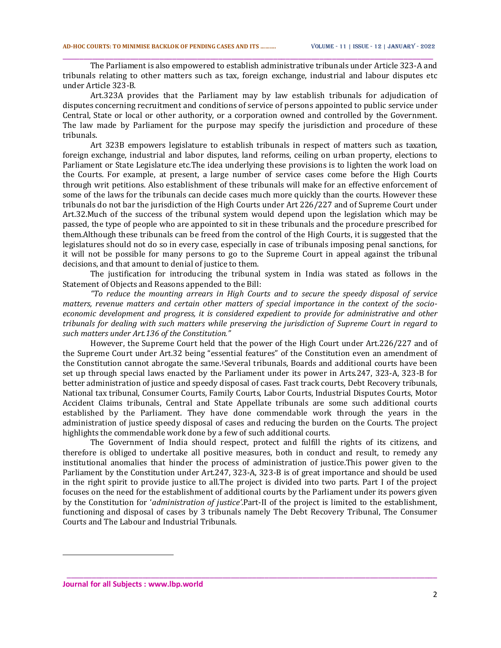The Parliament is also empowered to establish administrative tribunals under Article 323-A and tribunals relating to other matters such as tax, foreign exchange, industrial and labour disputes etc under Article 323-B.

\_\_\_\_\_\_\_\_\_\_\_\_\_\_\_\_\_\_\_\_\_\_\_\_\_\_\_\_\_\_\_\_\_\_\_\_\_\_\_\_\_\_\_\_\_\_\_\_\_\_\_\_\_\_\_\_\_\_\_\_\_\_\_\_\_\_\_\_\_\_\_\_\_\_\_\_\_\_\_\_\_\_\_\_\_\_\_\_

Art.323A provides that the Parliament may by law establish tribunals for adjudication of disputes concerning recruitment and conditions of service of persons appointed to public service under Central, State or local or other authority, or a corporation owned and controlled by the Government. The law made by Parliament for the purpose may specify the jurisdiction and procedure of these tribunals.

Art 323B empowers legislature to establish tribunals in respect of matters such as taxation, foreign exchange, industrial and labor disputes, land reforms, ceiling on urban property, elections to Parliament or State Legislature etc.The idea underlying these provisions is to lighten the work load on the Courts. For example, at present, a large number of service cases come before the High Courts through writ petitions. Also establishment of these tribunals will make for an effective enforcement of some of the laws for the tribunals can decide cases much more quickly than the courts. However these tribunals do not bar the jurisdiction of the High Courts under Art 226/227 and of Supreme Court under Art.32.Much of the success of the tribunal system would depend upon the legislation which may be passed, the type of people who are appointed to sit in these tribunals and the procedure prescribed for them.Although these tribunals can be freed from the control of the High Courts, it is suggested that the legislatures should not do so in every case, especially in case of tribunals imposing penal sanctions, for it will not be possible for many persons to go to the Supreme Court in appeal against the tribunal decisions, and that amount to denial of justice to them.

The justification for introducing the tribunal system in India was stated as follows in the Statement of Objects and Reasons appended to the Bill:

*"To reduce the mounting arrears in High Courts and to secure the speedy disposal of service matters, revenue matters and certain other matters of special importance in the context of the socioeconomic development and progress, it is considered expedient to provide for administrative and other tribunals for dealing with such matters while preserving the jurisdiction of Supreme Court in regard to such matters under Art.136 of the Constitution."*

However, the Supreme Court held that the power of the High Court under Art.226/227 and of the Supreme Court under Art.32 being "essential features" of the Constitution even an amendment of the Constitution cannot abrogate the same.1Several tribunals, Boards and additional courts have been set up through special laws enacted by the Parliament under its power in Arts.247, 323-A, 323-B for better administration of justice and speedy disposal of cases. Fast track courts, Debt Recovery tribunals, National tax tribunal, Consumer Courts, Family Courts, Labor Courts, Industrial Disputes Courts, Motor Accident Claims tribunals, Central and State Appellate tribunals are some such additional courts established by the Parliament. They have done commendable work through the years in the administration of justice speedy disposal of cases and reducing the burden on the Courts. The project highlights the commendable work done by a few of such additional courts.

The Government of India should respect, protect and fulfill the rights of its citizens, and therefore is obliged to undertake all positive measures, both in conduct and result, to remedy any institutional anomalies that hinder the process of administration of justice.This power given to the Parliament by the Constitution under Art.247, 323-A, 323-B is of great importance and should be used in the right spirit to provide justice to all.The project is divided into two parts. Part I of the project focuses on the need for the establishment of additional courts by the Parliament under its powers given by the Constitution for '*administration of justice'*.Part-II of the project is limited to the establishment, functioning and disposal of cases by 3 tribunals namely The Debt Recovery Tribunal, The Consumer Courts and The Labour and Industrial Tribunals.

\_\_\_\_\_\_\_\_\_\_\_\_\_\_\_\_\_\_\_\_\_\_\_\_\_\_\_\_\_\_\_\_\_\_\_\_\_\_\_\_\_\_\_\_\_\_\_\_\_\_\_\_\_\_\_\_\_\_\_\_\_\_\_\_\_\_\_\_\_\_\_\_\_\_\_\_\_\_\_\_\_\_\_\_\_\_\_\_

-

**Journal for all Subjects : www.lbp.world**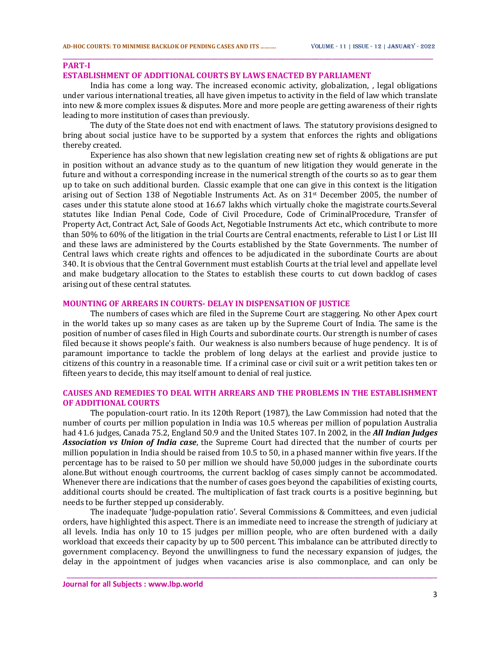#### **PART-I**

#### **ESTABLISHMENT OF ADDITIONAL COURTS BY LAWS ENACTED BY PARLIAMENT**

India has come a long way. The increased economic activity, globalization, , legal obligations under various international treaties, all have given impetus to activity in the field of law which translate into new & more complex issues & disputes. More and more people are getting awareness of their rights leading to more institution of cases than previously.

\_\_\_\_\_\_\_\_\_\_\_\_\_\_\_\_\_\_\_\_\_\_\_\_\_\_\_\_\_\_\_\_\_\_\_\_\_\_\_\_\_\_\_\_\_\_\_\_\_\_\_\_\_\_\_\_\_\_\_\_\_\_\_\_\_\_\_\_\_\_\_\_\_\_\_\_\_\_\_\_\_\_\_\_\_\_\_\_

The duty of the State does not end with enactment of laws. The statutory provisions designed to bring about social justice have to be supported by a system that enforces the rights and obligations thereby created.

Experience has also shown that new legislation creating new set of rights & obligations are put in position without an advance study as to the quantum of new litigation they would generate in the future and without a corresponding increase in the numerical strength of the courts so as to gear them up to take on such additional burden. Classic example that one can give in this context is the litigation arising out of Section 138 of Negotiable Instruments Act. As on  $31<sup>st</sup>$  December 2005, the number of cases under this statute alone stood at 16.67 lakhs which virtually choke the magistrate courts.Several statutes like Indian Penal Code, Code of Civil Procedure, Code of CriminalProcedure, Transfer of Property Act, Contract Act, Sale of Goods Act, Negotiable Instruments Act etc., which contribute to more than 50% to 60% of the litigation in the trial Courts are Central enactments, referable to List I or List III and these laws are administered by the Courts established by the State Governments. The number of Central laws which create rights and offences to be adjudicated in the subordinate Courts are about 340. It is obvious that the Central Government must establish Courts at the trial level and appellate level and make budgetary allocation to the States to establish these courts to cut down backlog of cases arising out of these central statutes.

## **MOUNTING OF ARREARS IN COURTS- DELAY IN DISPENSATION OF JUSTICE**

The numbers of cases which are filed in the Supreme Court are staggering. No other Apex court in the world takes up so many cases as are taken up by the Supreme Court of India. The same is the position of number of cases filed in High Courts and subordinate courts. Our strength is number of cases filed because it shows people's faith. Our weakness is also numbers because of huge pendency. It is of paramount importance to tackle the problem of long delays at the earliest and provide justice to citizens of this country in a reasonable time. If a criminal case or civil suit or a writ petition takes ten or fifteen years to decide, this may itself amount to denial of real justice.

## **CAUSES AND REMEDIES TO DEAL WITH ARREARS AND THE PROBLEMS IN THE ESTABLISHMENT OF ADDITIONAL COURTS**

The population-court ratio. In its 120th Report (1987), the Law Commission had noted that the number of courts per million population in India was 10.5 whereas per million of population Australia had 41.6 judges, Canada 75.2, England 50.9 and the United States 107. In 2002, in the *All Indian Judges Association vs Union of India case*, the Supreme Court had directed that the number of courts per million population in India should be raised from 10.5 to 50, in a phased manner within five years. If the percentage has to be raised to 50 per million we should have 50,000 judges in the subordinate courts alone.But without enough courtrooms, the current backlog of cases simply cannot be accommodated. Whenever there are indications that the number of cases goes beyond the capabilities of existing courts, additional courts should be created. The multiplication of fast track courts is a positive beginning, but needs to be further stepped up considerably.

The inadequate 'Judge-population ratio'. Several Commissions & Committees, and even judicial orders, have highlighted this aspect. There is an immediate need to increase the strength of judiciary at all levels. India has only 10 to 15 judges per million people, who are often burdened with a daily workload that exceeds their capacity by up to 500 percent. This imbalance can be attributed directly to government complacency. Beyond the unwillingness to fund the necessary expansion of judges, the delay in the appointment of judges when vacancies arise is also commonplace, and can only be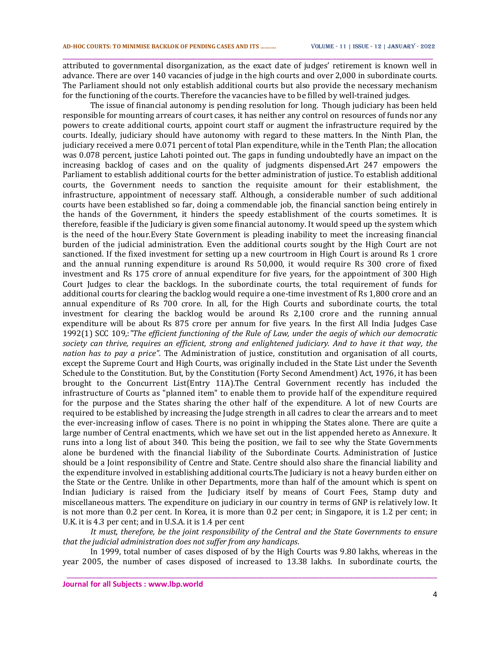attributed to governmental disorganization, as the exact date of judges' retirement is known well in advance. There are over 140 vacancies of judge in the high courts and over 2,000 in subordinate courts. The Parliament should not only establish additional courts but also provide the necessary mechanism for the functioning of the courts. Therefore the vacancies have to be filled by well-trained judges.

\_\_\_\_\_\_\_\_\_\_\_\_\_\_\_\_\_\_\_\_\_\_\_\_\_\_\_\_\_\_\_\_\_\_\_\_\_\_\_\_\_\_\_\_\_\_\_\_\_\_\_\_\_\_\_\_\_\_\_\_\_\_\_\_\_\_\_\_\_\_\_\_\_\_\_\_\_\_\_\_\_\_\_\_\_\_\_\_

The issue of financial autonomy is pending resolution for long. Though judiciary has been held responsible for mounting arrears of court cases, it has neither any control on resources of funds nor any powers to create additional courts, appoint court staff or augment the infrastructure required by the courts. Ideally, judiciary should have autonomy with regard to these matters. In the Ninth Plan, the judiciary received a mere 0.071 percent of total Plan expenditure, while in the Tenth Plan; the allocation was 0.078 percent, justice Lahoti pointed out. The gaps in funding undoubtedly have an impact on the increasing backlog of cases and on the quality of judgments dispensed.Art 247 empowers the Parliament to establish additional courts for the better administration of justice. To establish additional courts, the Government needs to sanction the requisite amount for their establishment, the infrastructure, appointment of necessary staff. Although, a considerable number of such additional courts have been established so far, doing a commendable job, the financial sanction being entirely in the hands of the Government, it hinders the speedy establishment of the courts sometimes. It is therefore, feasible if the Judiciary is given some financial autonomy. It would speed up the system which is the need of the hour.Every State Government is pleading inability to meet the increasing financial burden of the judicial administration. Even the additional courts sought by the High Court are not sanctioned. If the fixed investment for setting up a new courtroom in High Court is around Rs 1 crore and the annual running expenditure is around Rs 50,000, it would require Rs 300 crore of fixed investment and Rs 175 crore of annual expenditure for five years, for the appointment of 300 High Court Judges to clear the backlogs. In the subordinate courts, the total requirement of funds for additional courts for clearing the backlog would require a one-time investment of Rs 1,800 crore and an annual expenditure of Rs 700 crore. In all, for the High Courts and subordinate courts, the total investment for clearing the backlog would be around Rs 2,100 crore and the running annual expenditure will be about Rs 875 crore per annum for five years. In the first All India Judges Case 1992(1) SCC 109,:*"The efficient functioning of the Rule of Law, under the aegis of which our democratic society can thrive, requires an efficient, strong and enlightened judiciary. And to have it that way, the nation has to pay a price"*. The Administration of justice, constitution and organisation of all courts, except the Supreme Court and High Courts, was originally included in the State List under the Seventh Schedule to the Constitution. But, by the Constitution (Forty Second Amendment) Act, 1976, it has been brought to the Concurrent List(Entry 11A).The Central Government recently has included the infrastructure of Courts as "planned item" to enable them to provide half of the expenditure required for the purpose and the States sharing the other half of the expenditure. A lot of new Courts are required to be established by increasing the Judge strength in all cadres to clear the arrears and to meet the ever-increasing inflow of cases. There is no point in whipping the States alone. There are quite a large number of Central enactments, which we have set out in the list appended hereto as Annexure. It runs into a long list of about 340. This being the position, we fail to see why the State Governments alone be burdened with the financial liability of the Subordinate Courts. Administration of Justice should be a Joint responsibility of Centre and State. Centre should also share the financial liability and the expenditure involved in establishing additional courts.The Judiciary is not a heavy burden either on the State or the Centre. Unlike in other Departments, more than half of the amount which is spent on Indian Judiciary is raised from the Judiciary itself by means of Court Fees, Stamp duty and miscellaneous matters. The expenditure on judiciary in our country in terms of GNP is relatively low. It is not more than 0.2 per cent. In Korea, it is more than 0.2 per cent; in Singapore, it is 1.2 per cent; in U.K. it is 4.3 per cent; and in U.S.A. it is 1.4 per cent

*It must, therefore, be the joint responsibility of the Central and the State Governments to ensure that the judicial administration does not suffer from any handicaps*.

In 1999, total number of cases disposed of by the High Courts was 9.80 lakhs, whereas in the year 2005, the number of cases disposed of increased to 13.38 lakhs. In subordinate courts, the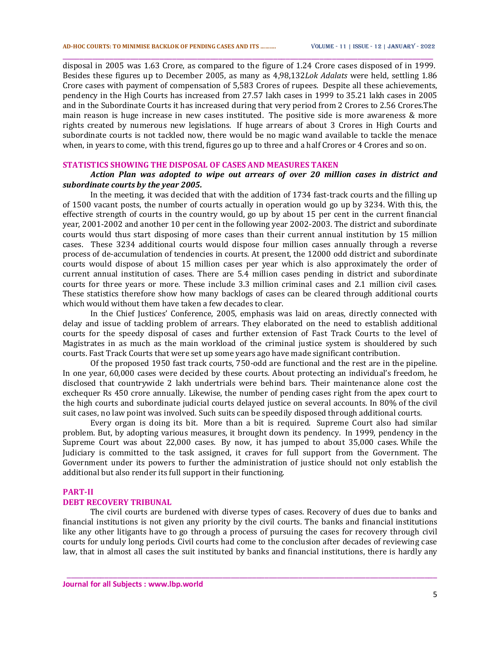disposal in 2005 was 1.63 Crore, as compared to the figure of 1.24 Crore cases disposed of in 1999. Besides these figures up to December 2005, as many as 4,98,132*Lok Adalats* were held, settling 1.86 Crore cases with payment of compensation of 5,583 Crores of rupees. Despite all these achievements, pendency in the High Courts has increased from 27.57 lakh cases in 1999 to 35.21 lakh cases in 2005 and in the Subordinate Courts it has increased during that very period from 2 Crores to 2.56 Crores.The main reason is huge increase in new cases instituted. The positive side is more awareness & more rights created by numerous new legislations. If huge arrears of about 3 Crores in High Courts and subordinate courts is not tackled now, there would be no magic wand available to tackle the menace when, in years to come, with this trend, figures go up to three and a half Crores or 4 Crores and so on.

\_\_\_\_\_\_\_\_\_\_\_\_\_\_\_\_\_\_\_\_\_\_\_\_\_\_\_\_\_\_\_\_\_\_\_\_\_\_\_\_\_\_\_\_\_\_\_\_\_\_\_\_\_\_\_\_\_\_\_\_\_\_\_\_\_\_\_\_\_\_\_\_\_\_\_\_\_\_\_\_\_\_\_\_\_\_\_\_

### **STATISTICS SHOWING THE DISPOSAL OF CASES AND MEASURES TAKEN**

## *Action Plan was adopted to wipe out arrears of over 20 million cases in district and subordinate courts by the year 2005.*

In the meeting, it was decided that with the addition of 1734 fast-track courts and the filling up of 1500 vacant posts, the number of courts actually in operation would go up by 3234. With this, the effective strength of courts in the country would, go up by about 15 per cent in the current financial year, 2001-2002 and another 10 per cent in the following year 2002-2003. The district and subordinate courts would thus start disposing of more cases than their current annual institution by 15 million cases. These 3234 additional courts would dispose four million cases annually through a reverse process of de-accumulation of tendencies in courts. At present, the 12000 odd district and subordinate courts would dispose of about 15 million cases per year which is also approximately the order of current annual institution of cases. There are 5.4 million cases pending in district and subordinate courts for three years or more. These include 3.3 million criminal cases and 2.1 million civil cases. These statistics therefore show how many backlogs of cases can be cleared through additional courts which would without them have taken a few decades to clear.

In the Chief Justices' Conference, 2005, emphasis was laid on areas, directly connected with delay and issue of tackling problem of arrears. They elaborated on the need to establish additional courts for the speedy disposal of cases and further extension of Fast Track Courts to the level of Magistrates in as much as the main workload of the criminal justice system is shouldered by such courts. Fast Track Courts that were set up some years ago have made significant contribution.

Of the proposed 1950 fast track courts, 750-odd are functional and the rest are in the pipeline. In one year, 60,000 cases were decided by these courts. About protecting an individual's freedom, he disclosed that countrywide 2 lakh undertrials were behind bars. Their maintenance alone cost the exchequer Rs 450 crore annually. Likewise, the number of pending cases right from the apex court to the high courts and subordinate judicial courts delayed justice on several accounts. In 80% of the civil suit cases, no law point was involved. Such suits can be speedily disposed through additional courts.

Every organ is doing its bit. More than a bit is required. Supreme Court also had similar problem. But, by adopting various measures, it brought down its pendency. In 1999, pendency in the Supreme Court was about 22,000 cases. By now, it has jumped to about 35,000 cases. While the Judiciary is committed to the task assigned, it craves for full support from the Government. The Government under its powers to further the administration of justice should not only establish the additional but also render its full support in their functioning.

#### **PART-II**

### **DEBT RECOVERY TRIBUNAL**

The civil courts are burdened with diverse types of cases. Recovery of dues due to banks and financial institutions is not given any priority by the civil courts. The banks and financial institutions like any other litigants have to go through a process of pursuing the cases for recovery through civil courts for unduly long periods. Civil courts had come to the conclusion after decades of reviewing case law, that in almost all cases the suit instituted by banks and financial institutions, there is hardly any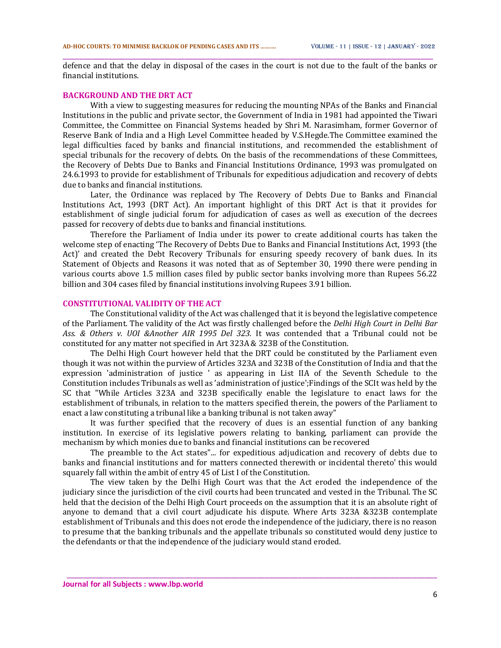\_\_\_\_\_\_\_\_\_\_\_\_\_\_\_\_\_\_\_\_\_\_\_\_\_\_\_\_\_\_\_\_\_\_\_\_\_\_\_\_\_\_\_\_\_\_\_\_\_\_\_\_\_\_\_\_\_\_\_\_\_\_\_\_\_\_\_\_\_\_\_\_\_\_\_\_\_\_\_\_\_\_\_\_\_\_\_\_ defence and that the delay in disposal of the cases in the court is not due to the fault of the banks or financial institutions.

## **BACKGROUND AND THE DRT ACT**

With a view to suggesting measures for reducing the mounting NPAs of the Banks and Financial Institutions in the public and private sector, the Government of India in 1981 had appointed the Tiwari Committee, the Committee on Financial Systems headed by Shri M. Narasimham, former Governor of Reserve Bank of India and a High Level Committee headed by V.S.Hegde.The Committee examined the legal difficulties faced by banks and financial institutions, and recommended the establishment of special tribunals for the recovery of debts. On the basis of the recommendations of these Committees, the Recovery of Debts Due to Banks and Financial Institutions Ordinance, 1993 was promulgated on 24.6.1993 to provide for establishment of Tribunals for expeditious adjudication and recovery of debts due to banks and financial institutions.

Later, the Ordinance was replaced by The Recovery of Debts Due to Banks and Financial Institutions Act, 1993 (DRT Act). An important highlight of this DRT Act is that it provides for establishment of single judicial forum for adjudication of cases as well as execution of the decrees passed for recovery of debts due to banks and financial institutions.

Therefore the Parliament of India under its power to create additional courts has taken the welcome step of enacting 'The Recovery of Debts Due to Banks and Financial Institutions Act, 1993 (the Act)' and created the Debt Recovery Tribunals for ensuring speedy recovery of bank dues. In its Statement of Objects and Reasons it was noted that as of September 30, 1990 there were pending in various courts above 1.5 million cases filed by public sector banks involving more than Rupees 56.22 billion and 304 cases filed by financial institutions involving Rupees 3.91 billion.

## **CONSTITUTIONAL VALIDITY OF THE ACT**

The Constitutional validity of the Act was challenged that it is beyond the legislative competence of the Parliament. The validity of the Act was firstly challenged before the *Delhi High Court in Delhi Bar Ass. & Others v. UOI &Another AIR 1995 Del 323.* It was contended that a Tribunal could not be constituted for any matter not specified in Art 323A & 323B of the Constitution.

The Delhi High Court however held that the DRT could be constituted by the Parliament even though it was not within the purview of Articles 323A and 323B of the Constitution of India and that the expression 'administration of justice ' as appearing in List IIA of the Seventh Schedule to the Constitution includes Tribunals as well as 'administration of justice';Findings of the SCIt was held by the SC that "While Articles 323A and 323B specifically enable the legislature to enact laws for the establishment of tribunals, in relation to the matters specified therein, the powers of the Parliament to enact a law constituting a tribunal like a banking tribunal is not taken away"

It was further specified that the recovery of dues is an essential function of any banking institution. In exercise of its legislative powers relating to banking, parliament can provide the mechanism by which monies due to banks and financial institutions can be recovered

The preamble to the Act states"... for expeditious adjudication and recovery of debts due to banks and financial institutions and for matters connected therewith or incidental thereto' this would squarely fall within the ambit of entry 45 of List I of the Constitution.

The view taken by the Delhi High Court was that the Act eroded the independence of the judiciary since the jurisdiction of the civil courts had been truncated and vested in the Tribunal. The SC held that the decision of the Delhi High Court proceeds on the assumption that it is an absolute right of anyone to demand that a civil court adjudicate his dispute. Where Arts 323A &323B contemplate establishment of Tribunals and this does not erode the independence of the judiciary, there is no reason to presume that the banking tribunals and the appellate tribunals so constituted would deny justice to the defendants or that the independence of the judiciary would stand eroded.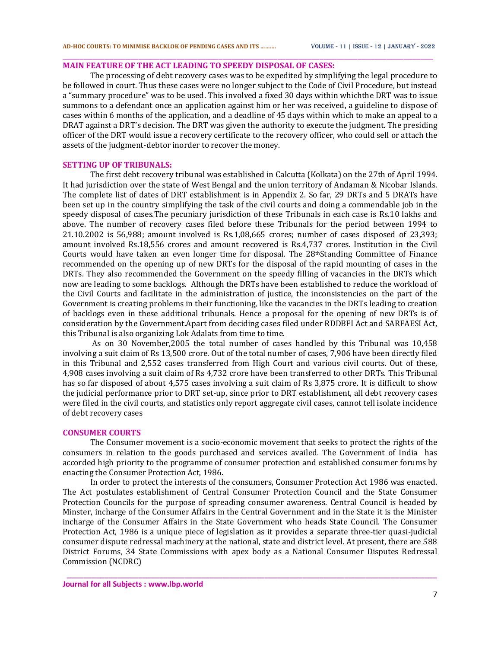## **MAIN FEATURE OF THE ACT LEADING TO SPEEDY DISPOSAL OF CASES:**

The processing of debt recovery cases was to be expedited by simplifying the legal procedure to be followed in court. Thus these cases were no longer subject to the Code of Civil Procedure, but instead a "summary procedure" was to be used. This involved a fixed 30 days within whichthe DRT was to issue summons to a defendant once an application against him or her was received, a guideline to dispose of cases within 6 months of the application, and a deadline of 45 days within which to make an appeal to a DRAT against a DRT's decision. The DRT was given the authority to execute the judgment. The presiding officer of the DRT would issue a recovery certificate to the recovery officer, who could sell or attach the assets of the judgment-debtor inorder to recover the money.

\_\_\_\_\_\_\_\_\_\_\_\_\_\_\_\_\_\_\_\_\_\_\_\_\_\_\_\_\_\_\_\_\_\_\_\_\_\_\_\_\_\_\_\_\_\_\_\_\_\_\_\_\_\_\_\_\_\_\_\_\_\_\_\_\_\_\_\_\_\_\_\_\_\_\_\_\_\_\_\_\_\_\_\_\_\_\_\_

#### **SETTING UP OF TRIBUNALS:**

The first debt recovery tribunal was established in Calcutta (Kolkata) on the 27th of April 1994. It had jurisdiction over the state of West Bengal and the union territory of Andaman & Nicobar Islands. The complete list of dates of DRT establishment is in Appendix 2. So far, 29 DRTs and 5 DRATs have been set up in the country simplifying the task of the civil courts and doing a commendable job in the speedy disposal of cases.The pecuniary jurisdiction of these Tribunals in each case is Rs.10 lakhs and above. The number of recovery cases filed before these Tribunals for the period between 1994 to 21.10.2002 is 56,988; amount involved is Rs.1,08,665 crores; number of cases disposed of 23,393; amount involved Rs.18,556 crores and amount recovered is Rs.4,737 crores. Institution in the Civil Courts would have taken an even longer time for disposal. The  $28<sup>th</sup>$ Standing Committee of Finance recommended on the opening up of new DRTs for the disposal of the rapid mounting of cases in the DRTs. They also recommended the Government on the speedy filling of vacancies in the DRTs which now are leading to some backlogs. Although the DRTs have been established to reduce the workload of the Civil Courts and facilitate in the administration of justice, the inconsistencies on the part of the Government is creating problems in their functioning, like the vacancies in the DRTs leading to creation of backlogs even in these additional tribunals. Hence a proposal for the opening of new DRTs is of consideration by the Government.Apart from deciding cases filed under RDDBFI Act and SARFAESI Act, this Tribunal is also organizing Lok Adalats from time to time.

As on 30 November,2005 the total number of cases handled by this Tribunal was 10,458 involving a suit claim of Rs 13,500 crore. Out of the total number of cases, 7,906 have been directly filed in this Tribunal and 2,552 cases transferred from High Court and various civil courts. Out of these, 4,908 cases involving a suit claim of Rs 4,732 crore have been transferred to other DRTs. This Tribunal has so far disposed of about 4,575 cases involving a suit claim of Rs 3,875 crore. It is difficult to show the judicial performance prior to DRT set-up, since prior to DRT establishment, all debt recovery cases were filed in the civil courts, and statistics only report aggregate civil cases, cannot tell isolate incidence of debt recovery cases

### **CONSUMER COURTS**

The Consumer movement is a socio-economic movement that seeks to protect the rights of the consumers in relation to the goods purchased and services availed. The Government of India has accorded high priority to the programme of consumer protection and established consumer forums by enacting the Consumer Protection Act, 1986.

In order to protect the interests of the consumers, Consumer Protection Act 1986 was enacted. The Act postulates establishment of Central Consumer Protection Council and the State Consumer Protection Councils for the purpose of spreading consumer awareness. Central Council is headed by Minster, incharge of the Consumer Affairs in the Central Government and in the State it is the Minister incharge of the Consumer Affairs in the State Government who heads State Council. The Consumer Protection Act, 1986 is a unique piece of legislation as it provides a separate three-tier quasi-judicial consumer dispute redressal machinery at the national, state and district level. At present, there are 588 District Forums, 34 State Commissions with apex body as a National Consumer Disputes Redressal Commission (NCDRC)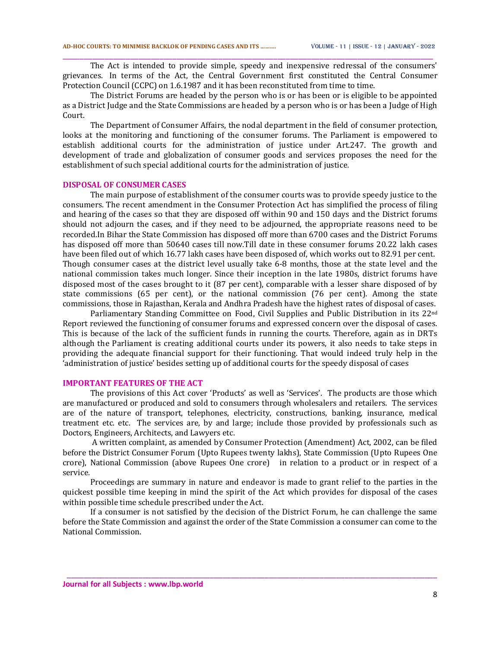The Act is intended to provide simple, speedy and inexpensive redressal of the consumers' grievances. In terms of the Act, the Central Government first constituted the Central Consumer Protection Council (CCPC) on 1.6.1987 and it has been reconstituted from time to time.

\_\_\_\_\_\_\_\_\_\_\_\_\_\_\_\_\_\_\_\_\_\_\_\_\_\_\_\_\_\_\_\_\_\_\_\_\_\_\_\_\_\_\_\_\_\_\_\_\_\_\_\_\_\_\_\_\_\_\_\_\_\_\_\_\_\_\_\_\_\_\_\_\_\_\_\_\_\_\_\_\_\_\_\_\_\_\_\_

The District Forums are headed by the person who is or has been or is eligible to be appointed as a District Judge and the State Commissions are headed by a person who is or has been a Judge of High Court.

The Department of Consumer Affairs, the nodal department in the field of consumer protection, looks at the monitoring and functioning of the consumer forums. The Parliament is empowered to establish additional courts for the administration of justice under Art.247. The growth and development of trade and globalization of consumer goods and services proposes the need for the establishment of such special additional courts for the administration of justice.

#### **DISPOSAL OF CONSUMER CASES**

The main purpose of establishment of the consumer courts was to provide speedy justice to the consumers. The recent amendment in the Consumer Protection Act has simplified the process of filing and hearing of the cases so that they are disposed off within 90 and 150 days and the District forums should not adjourn the cases, and if they need to be adjourned, the appropriate reasons need to be recorded.In Bihar the State Commission has disposed off more than 6700 cases and the District Forums has disposed off more than 50640 cases till now.Till date in these consumer forums 20.22 lakh cases have been filed out of which 16.77 lakh cases have been disposed of, which works out to 82.91 per cent. Though consumer cases at the district level usually take 6-8 months, those at the state level and the national commission takes much longer. Since their inception in the late 1980s, district forums have disposed most of the cases brought to it (87 per cent), comparable with a lesser share disposed of by state commissions (65 per cent), or the national commission (76 per cent). Among the state commissions, those in Rajasthan, Kerala and Andhra Pradesh have the highest rates of disposal of cases.

Parliamentary Standing Committee on Food, Civil Supplies and Public Distribution in its 22nd Report reviewed the functioning of consumer forums and expressed concern over the disposal of cases. This is because of the lack of the sufficient funds in running the courts. Therefore, again as in DRTs although the Parliament is creating additional courts under its powers, it also needs to take steps in providing the adequate financial support for their functioning. That would indeed truly help in the 'administration of justice' besides setting up of additional courts for the speedy disposal of cases

### **IMPORTANT FEATURES OF THE ACT**

The provisions of this Act cover 'Products' as well as 'Services'. The products are those which are manufactured or produced and sold to consumers through wholesalers and retailers. The services are of the nature of transport, telephones, electricity, constructions, banking, insurance, medical treatment etc. etc. The services are, by and large; include those provided by professionals such as Doctors, Engineers, Architects, and Lawyers etc.

A written complaint, as amended by Consumer Protection (Amendment) Act, 2002, can be filed before the District Consumer Forum (Upto Rupees twenty lakhs), State Commission (Upto Rupees One crore), National Commission (above Rupees One crore) in relation to a product or in respect of a service.

Proceedings are summary in nature and endeavor is made to grant relief to the parties in the quickest possible time keeping in mind the spirit of the Act which provides for disposal of the cases within possible time schedule prescribed under the Act.

If a consumer is not satisfied by the decision of the District Forum, he can challenge the same before the State Commission and against the order of the State Commission a consumer can come to the National Commission.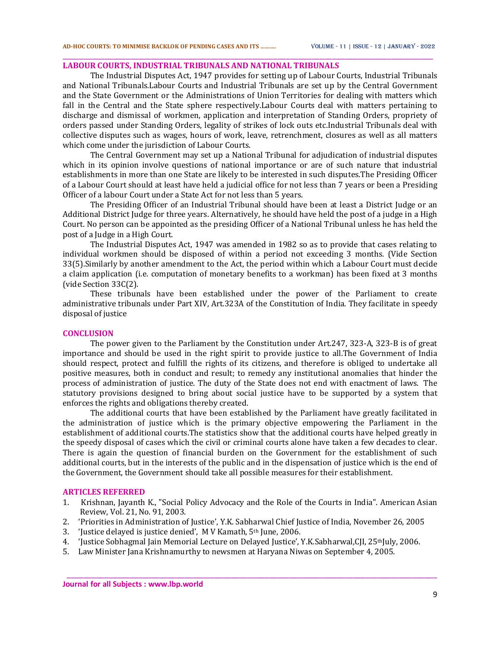## **LABOUR COURTS, INDUSTRIAL TRIBUNALS AND NATIONAL TRIBUNALS**

The Industrial Disputes Act, 1947 provides for setting up of Labour Courts, Industrial Tribunals and National Tribunals.Labour Courts and Industrial Tribunals are set up by the Central Government and the State Government or the Administrations of Union Territories for dealing with matters which fall in the Central and the State sphere respectively.Labour Courts deal with matters pertaining to discharge and dismissal of workmen, application and interpretation of Standing Orders, propriety of orders passed under Standing Orders, legality of strikes of lock outs etc.Industrial Tribunals deal with collective disputes such as wages, hours of work, leave, retrenchment, closures as well as all matters which come under the jurisdiction of Labour Courts.

\_\_\_\_\_\_\_\_\_\_\_\_\_\_\_\_\_\_\_\_\_\_\_\_\_\_\_\_\_\_\_\_\_\_\_\_\_\_\_\_\_\_\_\_\_\_\_\_\_\_\_\_\_\_\_\_\_\_\_\_\_\_\_\_\_\_\_\_\_\_\_\_\_\_\_\_\_\_\_\_\_\_\_\_\_\_\_\_

The Central Government may set up a National Tribunal for adjudication of industrial disputes which in its opinion involve questions of national importance or are of such nature that industrial establishments in more than one State are likely to be interested in such disputes.The Presiding Officer of a Labour Court should at least have held a judicial office for not less than 7 years or been a Presiding Officer of a labour Court under a State Act for not less than 5 years.

The Presiding Officer of an Industrial Tribunal should have been at least a District Judge or an Additional District Judge for three years. Alternatively, he should have held the post of a judge in a High Court. No person can be appointed as the presiding Officer of a National Tribunal unless he has held the post of a Judge in a High Court.

The Industrial Disputes Act, 1947 was amended in 1982 so as to provide that cases relating to individual workmen should be disposed of within a period not exceeding 3 months. (Vide Section 33(5).Similarly by another amendment to the Act, the period within which a Labour Court must decide a claim application (i.e. computation of monetary benefits to a workman) has been fixed at 3 months (vide Section 33C(2).

These tribunals have been established under the power of the Parliament to create administrative tribunals under Part XIV, Art.323A of the Constitution of India. They facilitate in speedy disposal of justice

### **CONCLUSION**

The power given to the Parliament by the Constitution under Art.247, 323-A, 323-B is of great importance and should be used in the right spirit to provide justice to all.The Government of India should respect, protect and fulfill the rights of its citizens, and therefore is obliged to undertake all positive measures, both in conduct and result; to remedy any institutional anomalies that hinder the process of administration of justice. The duty of the State does not end with enactment of laws. The statutory provisions designed to bring about social justice have to be supported by a system that enforces the rights and obligations thereby created.

The additional courts that have been established by the Parliament have greatly facilitated in the administration of justice which is the primary objective empowering the Parliament in the establishment of additional courts.The statistics show that the additional courts have helped greatly in the speedy disposal of cases which the civil or criminal courts alone have taken a few decades to clear. There is again the question of financial burden on the Government for the establishment of such additional courts, but in the interests of the public and in the dispensation of justice which is the end of the Government, the Government should take all possible measures for their establishment.

#### **ARTICLES REFERRED**

1.Krishnan, Jayanth K., "Social Policy Advocacy and the Role of the Courts in India". American Asian Review, Vol. 21, No. 91, 2003.

- 2.'Priorities in Administration of Justice', Y.K. Sabharwal Chief Justice of India, November 26, 2005
- 3.'Justice delayed is justice denied', M V Kamath, 5th June, 2006.
- 4.'Justice Sobhagmal Jain Memorial Lecture on Delayed Justice', Y.K.Sabharwal,CJI, 25thJuly, 2006.
- 5.Law Minister Jana Krishnamurthy to newsmen at Haryana Niwas on September 4, 2005.